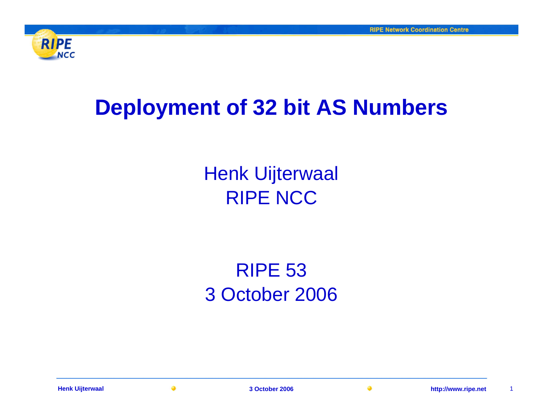

#### **Deployment of 32 bit AS Numbers**

Henk UijterwaalRIPE NCC

#### RIPE 533 October 2006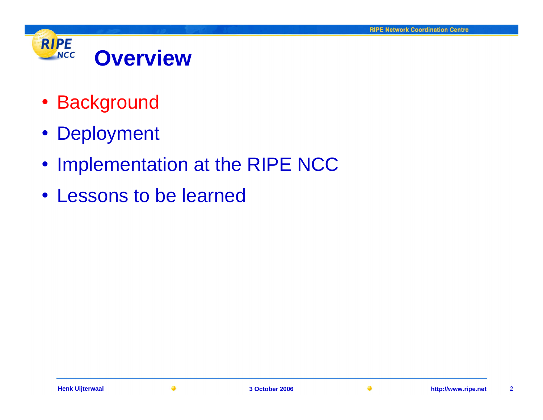

- Background
- Deployment
- Implementation at the RIPE NCC
- Lessons to be learned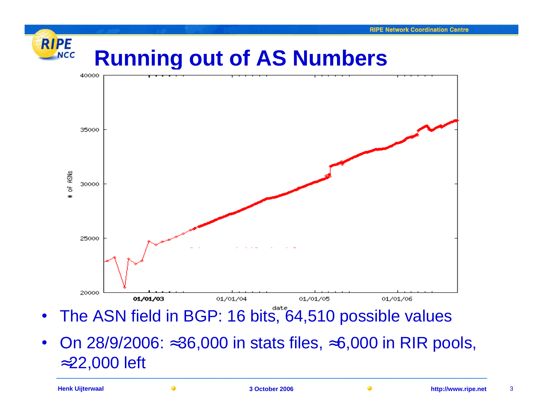

- $\bullet$ The ASN field in BGP: 16 bits, 64,510 possible values
- $\bullet$  On 28/9/2006: ≈36,000 in stats files, ≈6,000 in RIR pools, ≈22,000 left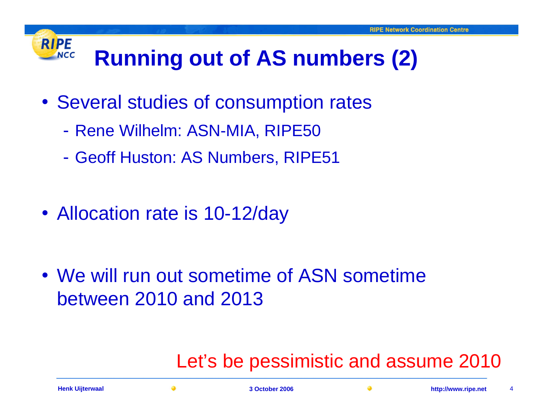### **Running out of AS numbers (2)**

- Several studies of consumption rates
	- -Rene Wilhelm: ASN-MIA, RIPE50
	- $\mathcal{L}_{\mathcal{A}}$ Geoff Huston: AS Numbers, RIPE51
- Allocation rate is 10-12/day
- We will run out sometime of ASN sometime between 2010 and 2013

#### Let's be pessimistic and assume 2010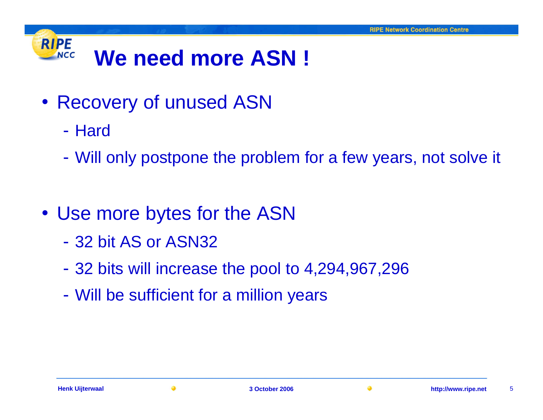#### **RIPE We need more ASN !NCC**

- Recovery of unused ASN
	- -- Hard
	- $\mathcal{L}_{\mathcal{A}}$ Will only postpone the problem for a few years, not solve it
- Use more bytes for the ASN
	- -32 bit AS or ASN32
	- $\mathcal{L}_{\mathcal{A}}$ 32 bits will increase the pool to 4,294,967,296
	- -Will be sufficient for a million years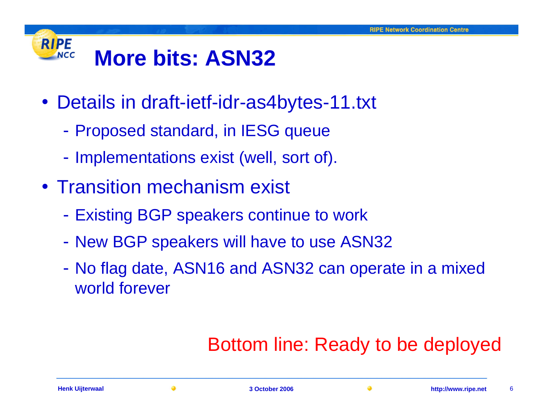#### **More bits: ASN32**

- Details in draft-ietf-idr-as4bytes-11.txt
	- -Proposed standard, in IESG queue
	- $\mathcal{L}_{\mathcal{A}}$ - Implementations exist (well, sort of).
- Transition mechanism exist
	- $\mathcal{L}_{\mathcal{A}}$ Existing BGP speakers continue to work
	- -- New BGP speakers will have to use ASN32
	- $\mathcal{L}_{\mathcal{A}}$  No flag date, ASN16 and ASN32 can operate in a mixed world forever

#### Bottom line: Ready to be deployed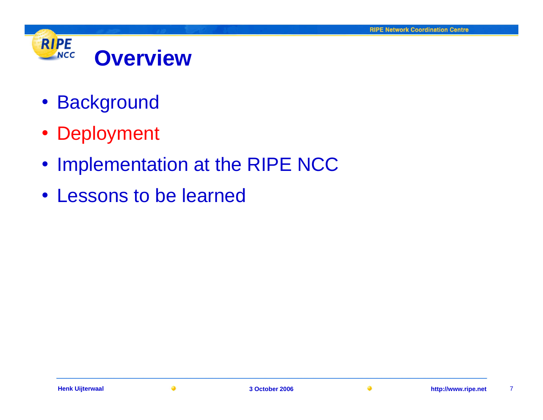

- Background
- Deployment
- Implementation at the RIPE NCC
- Lessons to be learned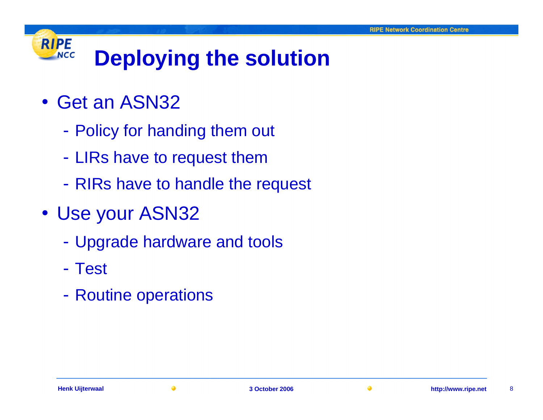## **Deploying the solution**

• Get an ASN32

- -Policy for handing them out
- $\mathcal{L}_{\mathcal{A}}$ LIRs have to request them
- $\mathcal{L}_{\mathcal{A}}$ RIRs have to handle the request
- Use your ASN32
	- -Upgrade hardware and tools
	- $\mathcal{L}_{\mathcal{A}}$ Test
	- -Routine operations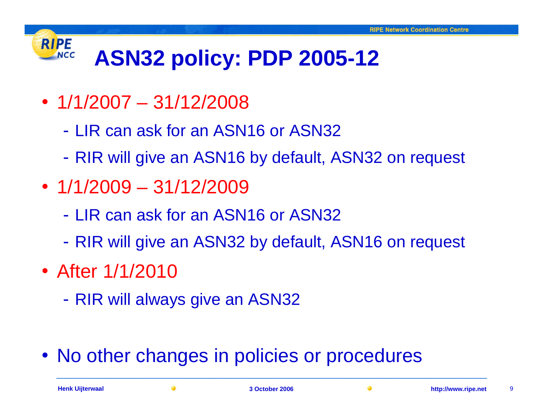## **ASN32 policy: PDP 2005-12**

- 1/1/2007 31/12/2008
	- -- LIR can ask for an ASN16 or ASN32
	- $\mathcal{L}_{\mathcal{A}}$ RIR will give an ASN16 by default, ASN32 on request
- 1/1/2009 31/12/2009
	- $\mathcal{L}_{\mathcal{A}}$ - LIR can ask for an ASN16 or ASN32
	- -RIR will give an ASN32 by default, ASN16 on request
- After 1/1/2010
	- $\mathcal{L}_{\mathcal{A}}$ RIR will always give an ASN32
- No other changes in policies or procedures

**Henk Uijterwaal**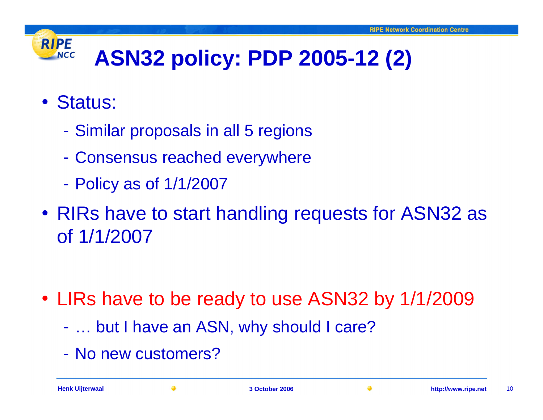### **ASN32 policy: PDP 2005-12 (2)**

• Status:

- -- Similar proposals in all 5 regions
- $\mathcal{L}_{\mathcal{A}}$ Consensus reached everywhere
- $\mathcal{L}_{\mathcal{A}}$ Policy as of 1/1/2007
- RIRs have to start handling requests for ASN32 as of 1/1/2007
- LIRs have to be ready to use ASN32 by 1/1/2009
	- $\mathcal{L}_{\mathcal{A}}$ … but I have an ASN, why should I care?
	- $\mathcal{L}_{\mathcal{A}}$ - No new customers?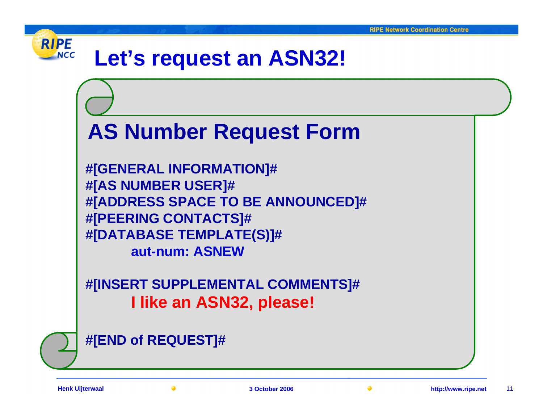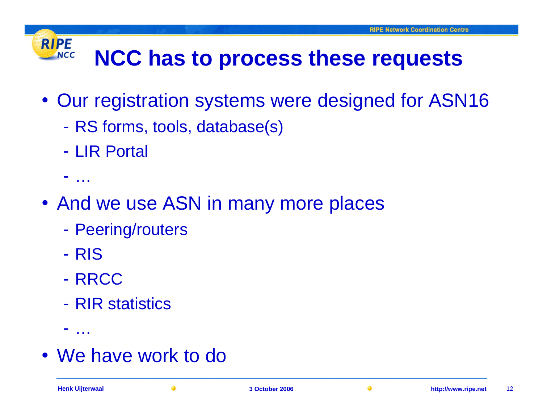### **NCC has to process these requests**

- Our registration systems were designed for ASN16
	- $\mathcal{L}_{\mathcal{A}}$ RS forms, tools, database(s)
	- $\mathcal{L}_{\mathcal{A}}$ - LIR Portal
	- $\mathcal{L}_{\mathcal{A}}$ …

- And we use ASN in many more places
	- $\mathcal{L}_{\mathcal{A}}$ - Peering/routers
	- $\mathcal{L}_{\mathcal{A}}$ - RIS
	- $\mathcal{L}_{\mathcal{A}}$ RRCC
	- $\mathcal{L}_{\mathcal{A}}$ - RIR statistics
	- $\mathcal{L}_{\mathcal{A}}$ …
- We have work to do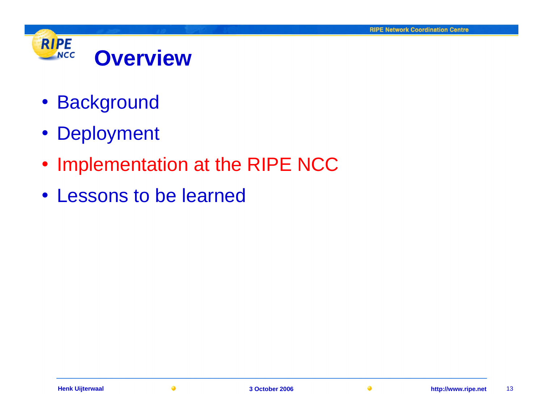

- Background
- Deployment
- Implementation at the RIPE NCC
- Lessons to be learned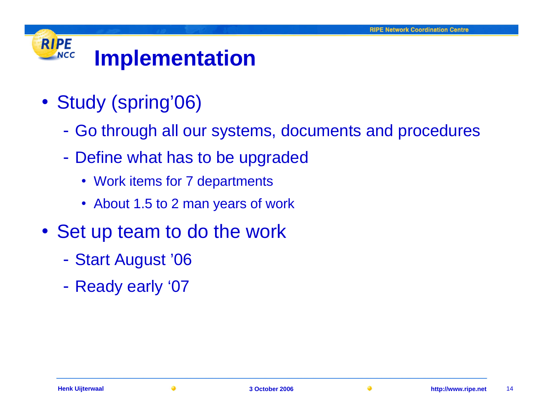#### **ImplementationNCC**

• Study (spring'06)

**RIPE** 

- -Go through all our systems, documents and procedures
- $\mathcal{L}_{\mathcal{A}}$  Define what has to be upgraded
	- Work items for 7 departments
	- About 1.5 to 2 man years of work
- Set up team to do the work
	- $\mathcal{L}_{\mathcal{A}}$ Start August '06
	- -Ready early '07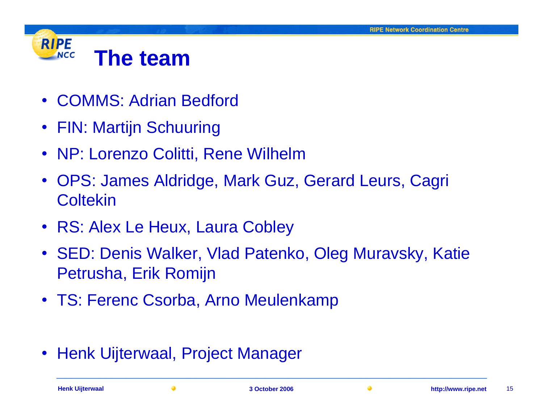

- COMMS: Adrian Bedford
- FIN: Martijn Schuuring
- NP: Lorenzo Colitti, Rene Wilhelm
- OPS: James Aldridge, Mark Guz, Gerard Leurs, Cagri **Coltekin**
- RS: Alex Le Heux, Laura Cobley
- $\bullet$  SED: Denis Walker, Vlad Patenko, Oleg Muravsky, Katie Petrusha, Erik Romijn
- TS: Ferenc Csorba, Arno Meulenkamp
- Henk Uijterwaal, Project Manager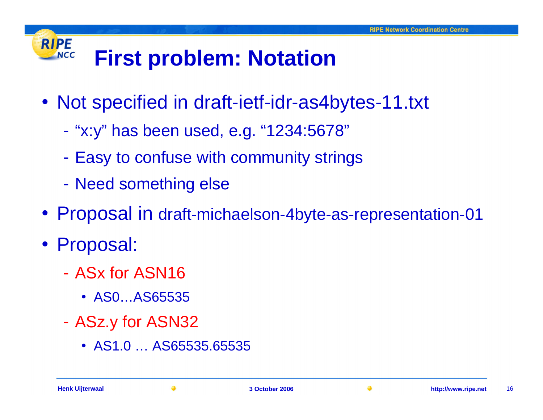### **First problem: Notation**

- Not specified in draft-ietf-idr-as4bytes-11.txt
	- -- "x:y" has been used, e.g. "1234:5678"
	- $\mathcal{L}_{\mathcal{A}}$ - Easy to confuse with community strings
	- $\mathcal{L}_{\mathcal{A}}$ Need something else
- Proposal in draft-michaelson-4byte-as-representation-01
- Proposal:

- $\mathcal{L}_{\mathcal{A}}$  ASx for ASN16
	- AS0…AS65535
- - ASz.y for ASN32
	- AS1.0 … AS65535.65535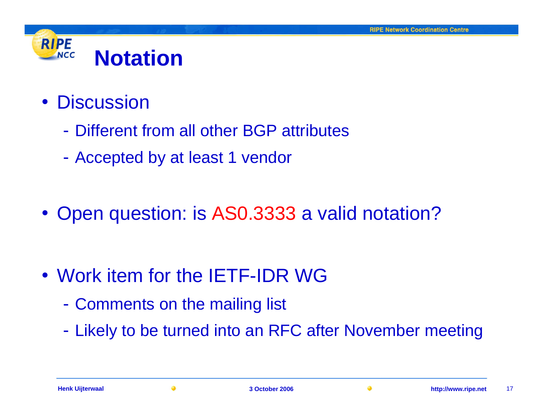

- Discussion
	- -Different from all other BGP attributes
	- $\mathcal{L}_{\mathcal{A}}$ Accepted by at least 1 vendor
- Open question: is AS0.3333 a valid notation?
- Work item for the IETF-IDR WG
	- $\mathcal{L}_{\mathcal{A}}$ Comments on the mailing list
	- $\mathcal{L}_{\mathcal{A}}$ Likely to be turned into an RFC after November meeting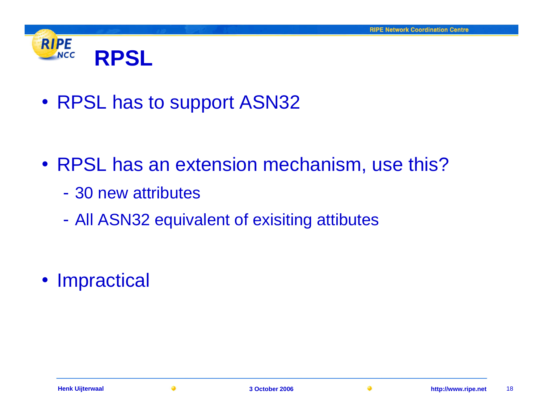

- RPSL has to support ASN32
- RPSL has an extension mechanism, use this?
	- $\mathcal{L}_{\mathcal{A}}$ 30 new attributes
	- $\mathcal{L}_{\mathcal{A}}$ All ASN32 equivalent of exisiting attibutes
- Impractical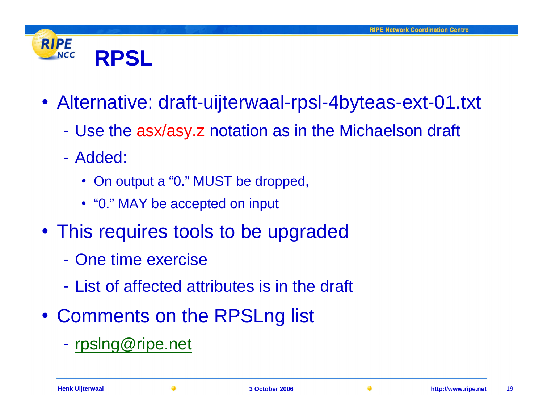

- Alternative: draft-uijterwaal-rpsl-4byteas-ext-01.txt
	- -Use the asx/asy.z notation as in the Michaelson draft
	- $\mathcal{L}_{\mathcal{A}}$ - Added:
		- On output a "0." MUST be dropped,
		- "0." MAY be accepted on input
- This requires tools to be upgraded
	- $\mathcal{L}_{\mathcal{A}}$ - One time exercise
	- -List of affected attributes is in the draft
- Comments on the RPSLng list
	- $\mathcal{L}_{\mathcal{A}}$ <u>- rpslng@ripe.net</u>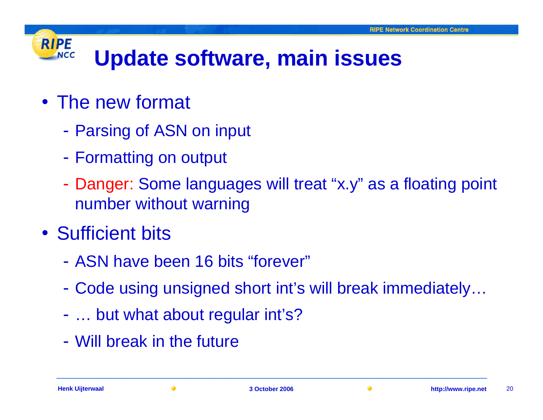**RIPE** 

NCC

### **Update software, main issues**

- The new format
	- -- Parsing of ASN on input
	- $\mathcal{L}_{\mathcal{A}}$ Formatting on output
	- - Danger: Some languages will treat "x.y" as a floating point number without warning
- Sufficient bits
	- $\mathcal{L}_{\mathcal{A}}$ ASN have been 16 bits "forever"
	- $\mathcal{L}_{\mathcal{A}}$ Code using unsigned short int's will break immediately…
	- $\mathcal{L}_{\mathcal{A}}$ … but what about regular int's?
	- $\mathcal{L}_{\mathcal{A}}$ Will break in the future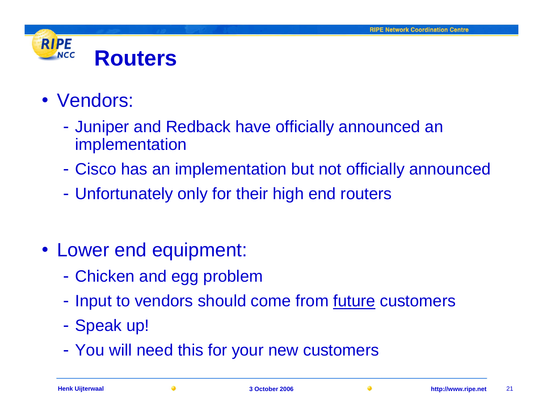

- Vendors:
	- $\mathcal{L}_{\mathcal{A}}$  Juniper and Redback have officially announced an implementation
	- $\mathcal{L}_{\mathcal{A}}$ Cisco has an implementation but not officially announced
	- $\mathcal{L}_{\mathcal{A}}$ Unfortunately only for their high end routers
- Lower end equipment:
	- $\mathcal{L}_{\mathcal{A}}$ Chicken and egg problem
	- Innut to vendore should - Input to vendors should come from <u>future</u> customers
	- $\mathcal{L}_{\mathcal{A}}$ - Speak up!
	- $\mathcal{L}_{\mathcal{A}}$ You will need this for your new customers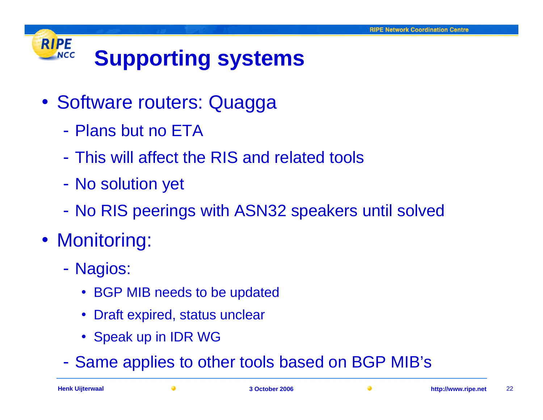#### **RIPE Supporting systemsNCC**

- Software routers: Quagga
	- -- Plans but no ETA
	- $\mathcal{L}_{\mathcal{A}}$ This will affect the RIS and related tools
	- $\mathcal{L}_{\mathcal{A}}$ - No solution yet
	- $\mathcal{L}_{\mathcal{A}}$ No RIS peerings with ASN32 speakers until solved
- Monitoring:
	- $\mathcal{L}_{\mathcal{A}}$ - Nagios:
		- BGP MIB needs to be updated
		- Draft expired, status unclear
		- Speak up in IDR WG
	- $\mathcal{L}_{\mathcal{A}}$ Same applies to other tools based on BGP MIB's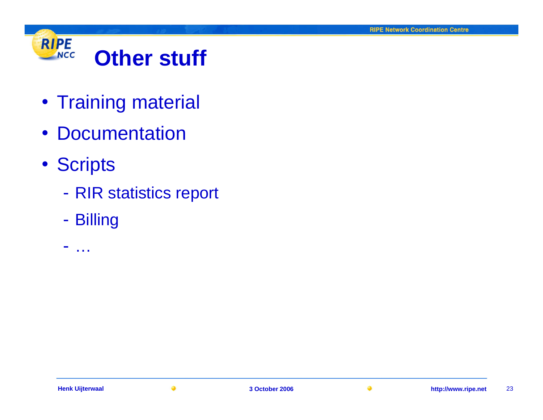#### **RIPE Other stuff** $NCC$

- Training material
- Documentation
- Scripts
	- $\mathcal{L}_{\mathcal{A}}$ RIR statistics report
	- $\mathcal{L}_{\mathcal{A}}$ Billing
	- $\mathcal{L}_{\mathcal{A}}$ …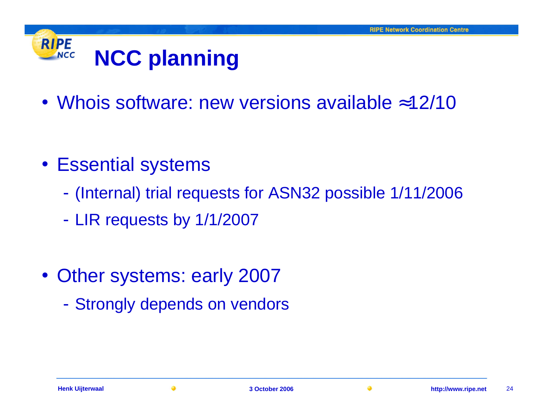#### **RIPE NCC planning** $NCC$

- Whois software: new versions available ≈12/10
- Essential systems
	- $\mathcal{L}_{\mathcal{A}}$ (Internal) trial requests for ASN32 possible 1/11/2006
	- $\mathcal{L}_{\mathcal{A}}$ LIR requests by 1/1/2007
- Other systems: early 2007
	- $\mathcal{L}_{\mathcal{A}}$ Strongly depends on vendors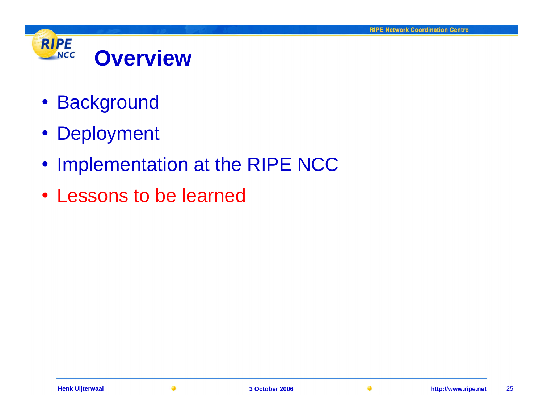

- Background
- Deployment
- Implementation at the RIPE NCC
- Lessons to be learned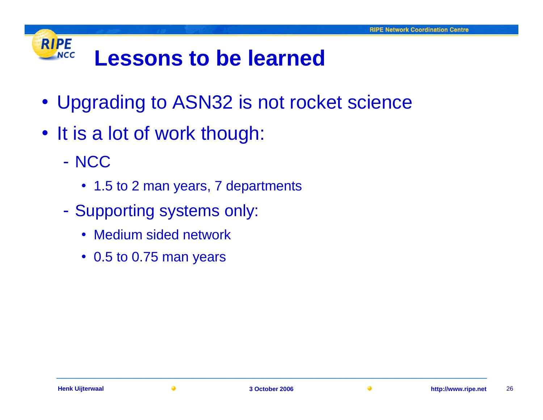#### **Lessons to be learned**

- Upgrading to ASN32 is not rocket science
- It is a lot of work though:
	- $\mathcal{L}_{\mathcal{A}}$ - NCC

- 1.5 to 2 man years, 7 departments
- $\mathcal{L}_{\mathcal{A}}$ - Supporting systems only:
	- Medium sided network
	- 0.5 to 0.75 man years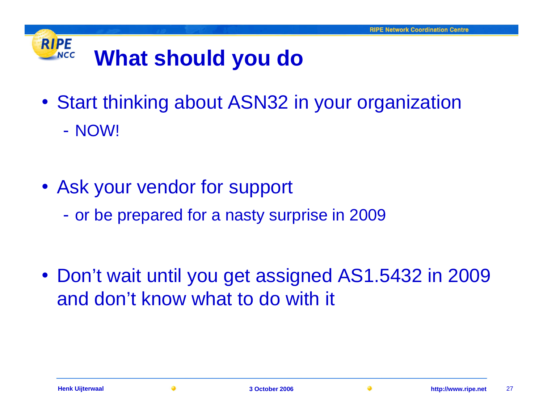#### **RIPE What should you doNCC**

- Start thinking about ASN32 in your organization-- NOW!
- Ask your vendor for support
	- $\mathcal{L}_{\mathcal{A}}$ - or be prepared for a nasty surprise in 2009
- Don't wait until you get assigned AS1.5432 in 2009 and don't know what to do with it